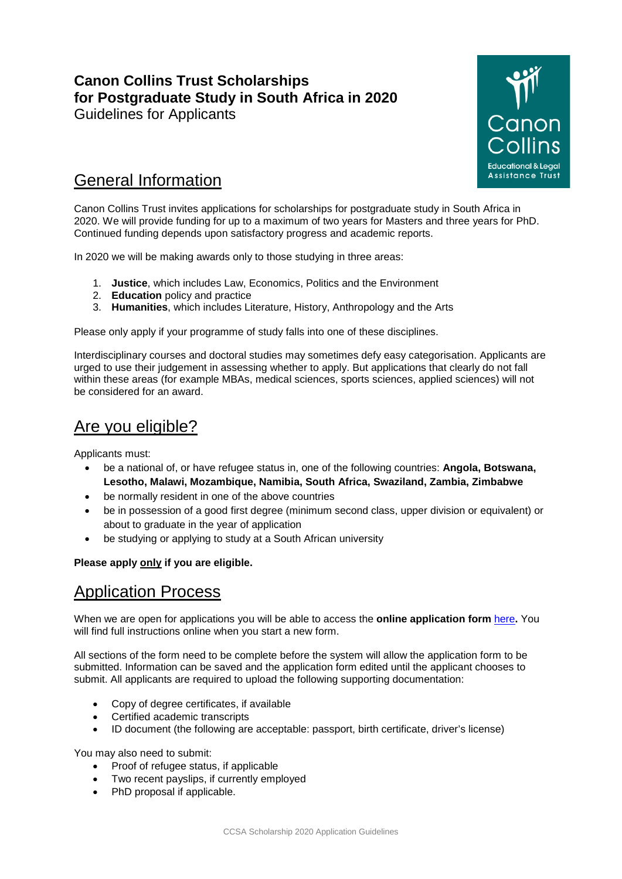# **Canon Collins Trust Scholarships for Postgraduate Study in South Africa in 2020**

Guidelines for Applicants



## General Information

Canon Collins Trust invites applications for scholarships for postgraduate study in South Africa in 2020. We will provide funding for up to a maximum of two years for Masters and three years for PhD. Continued funding depends upon satisfactory progress and academic reports.

In 2020 we will be making awards only to those studying in three areas:

- 1. **Justice**, which includes Law, Economics, Politics and the Environment
- 2. **Education** policy and practice
- 3. **Humanities**, which includes Literature, History, Anthropology and the Arts

Please only apply if your programme of study falls into one of these disciplines.

Interdisciplinary courses and doctoral studies may sometimes defy easy categorisation. Applicants are urged to use their judgement in assessing whether to apply. But applications that clearly do not fall within these areas (for example MBAs, medical sciences, sports sciences, applied sciences) will not be considered for an award.

## Are you eligible?

Applicants must:

- be a national of, or have refugee status in, one of the following countries: **Angola, Botswana, Lesotho, Malawi, Mozambique, Namibia, South Africa, Swaziland, Zambia, Zimbabwe**
- be normally resident in one of the above countries
- be in possession of a good first degree (minimum second class, upper division or equivalent) or about to graduate in the year of application
- be studying or applying to study at a South African university

### **Please apply only if you are eligible.**

## Application Process

When we are open for applications you will be able to access the **online application form** [here](https://www.gapgrants.com/bslgap/DseatFFX.jsp?formset=canon&formid=14)**.** You will find full instructions online when you start a new form.

All sections of the form need to be complete before the system will allow the application form to be submitted. Information can be saved and the application form edited until the applicant chooses to submit. All applicants are required to upload the following supporting documentation:

- Copy of degree certificates, if available
- Certified academic transcripts
- ID document (the following are acceptable: passport, birth certificate, driver's license)

You may also need to submit:

- Proof of refugee status, if applicable
- Two recent payslips, if currently employed
- PhD proposal if applicable.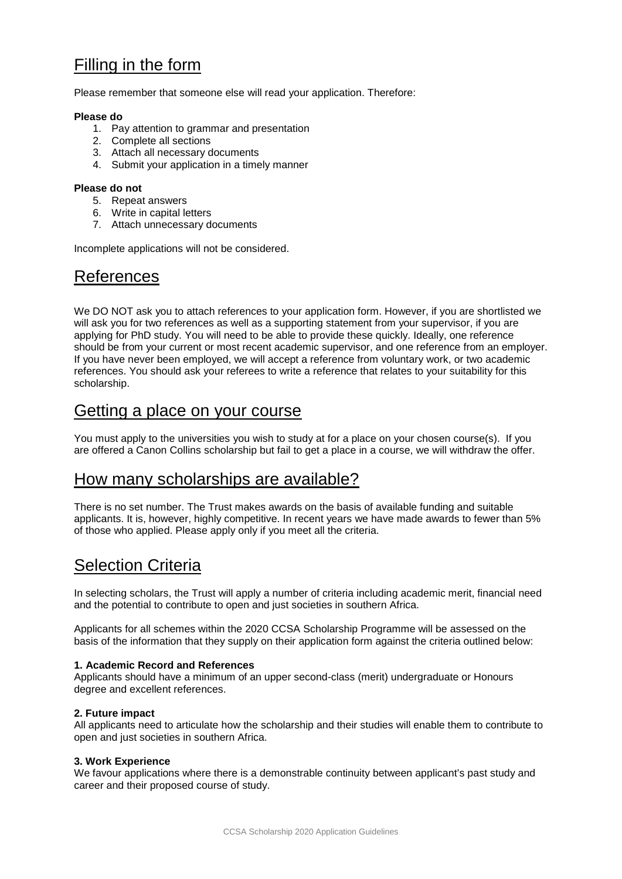## Filling in the form

Please remember that someone else will read your application. Therefore:

#### **Please do**

- 1. Pay attention to grammar and presentation
- 2. Complete all sections
- 3. Attach all necessary documents
- 4. Submit your application in a timely manner

#### **Please do not**

- 5. Repeat answers
- 6. Write in capital letters
- 7. Attach unnecessary documents

Incomplete applications will not be considered.

### References

We DO NOT ask you to attach references to your application form. However, if you are shortlisted we will ask you for two references as well as a supporting statement from your supervisor, if you are applying for PhD study. You will need to be able to provide these quickly. Ideally, one reference should be from your current or most recent academic supervisor, and one reference from an employer. If you have never been employed, we will accept a reference from voluntary work, or two academic references. You should ask your referees to write a reference that relates to your suitability for this scholarship.

### Getting a place on your course

You must apply to the universities you wish to study at for a place on your chosen course(s). If you are offered a Canon Collins scholarship but fail to get a place in a course, we will withdraw the offer.

### How many scholarships are available?

There is no set number. The Trust makes awards on the basis of available funding and suitable applicants. It is, however, highly competitive. In recent years we have made awards to fewer than 5% of those who applied. Please apply only if you meet all the criteria.

## Selection Criteria

In selecting scholars, the Trust will apply a number of criteria including academic merit, financial need and the potential to contribute to open and just societies in southern Africa.

Applicants for all schemes within the 2020 CCSA Scholarship Programme will be assessed on the basis of the information that they supply on their application form against the criteria outlined below:

### **1. Academic Record and References**

Applicants should have a minimum of an upper second-class (merit) undergraduate or Honours degree and excellent references.

### **2. Future impact**

All applicants need to articulate how the scholarship and their studies will enable them to contribute to open and just societies in southern Africa.

### **3. Work Experience**

We favour applications where there is a demonstrable continuity between applicant's past study and career and their proposed course of study.